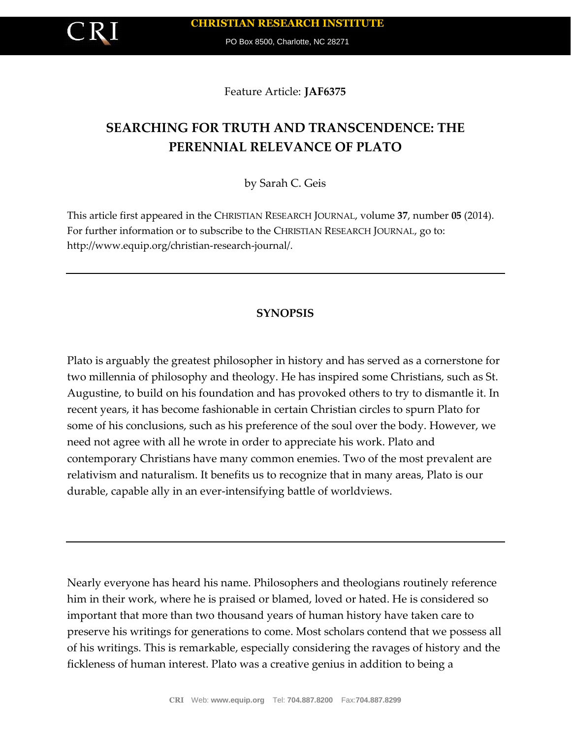

PO Box 8500, Charlotte, NC 28271

Feature Article: **JAF6375**

# **SEARCHING FOR TRUTH AND TRANSCENDENCE: THE PERENNIAL RELEVANCE OF PLATO**

by Sarah C. Geis

This article first appeared in the CHRISTIAN RESEARCH JOURNAL, volume **37**, number **05** (2014). For further information or to subscribe to the CHRISTIAN RESEARCH JOURNAL, go to: http://www.equip.org/christian-research-journal/.

## **SYNOPSIS**

Plato is arguably the greatest philosopher in history and has served as a cornerstone for two millennia of philosophy and theology. He has inspired some Christians, such as St. Augustine, to build on his foundation and has provoked others to try to dismantle it. In recent years, it has become fashionable in certain Christian circles to spurn Plato for some of his conclusions, such as his preference of the soul over the body. However, we need not agree with all he wrote in order to appreciate his work. Plato and contemporary Christians have many common enemies. Two of the most prevalent are relativism and naturalism. It benefits us to recognize that in many areas, Plato is our durable, capable ally in an ever-intensifying battle of worldviews.

Nearly everyone has heard his name. Philosophers and theologians routinely reference him in their work, where he is praised or blamed, loved or hated. He is considered so important that more than two thousand years of human history have taken care to preserve his writings for generations to come. Most scholars contend that we possess all of his writings. This is remarkable, especially considering the ravages of history and the fickleness of human interest. Plato was a creative genius in addition to being a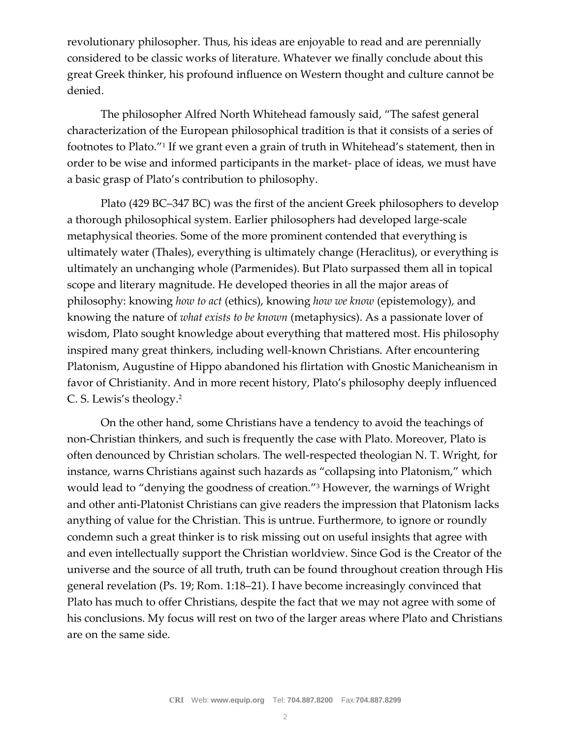revolutionary philosopher. Thus, his ideas are enjoyable to read and are perennially considered to be classic works of literature. Whatever we finally conclude about this great Greek thinker, his profound influence on Western thought and culture cannot be denied.

The philosopher Alfred North Whitehead famously said, "The safest general characterization of the European philosophical tradition is that it consists of a series of footnotes to Plato."<sup>1</sup> If we grant even a grain of truth in Whitehead's statement, then in order to be wise and informed participants in the market- place of ideas, we must have a basic grasp of Plato's contribution to philosophy.

Plato (429 BC–347 BC) was the first of the ancient Greek philosophers to develop a thorough philosophical system. Earlier philosophers had developed large-scale metaphysical theories. Some of the more prominent contended that everything is ultimately water (Thales), everything is ultimately change (Heraclitus), or everything is ultimately an unchanging whole (Parmenides). But Plato surpassed them all in topical scope and literary magnitude. He developed theories in all the major areas of philosophy: knowing *how to act* (ethics), knowing *how we know* (epistemology), and knowing the nature of *what exists to be known* (metaphysics). As a passionate lover of wisdom, Plato sought knowledge about everything that mattered most. His philosophy inspired many great thinkers, including well-known Christians. After encountering Platonism, Augustine of Hippo abandoned his flirtation with Gnostic Manicheanism in favor of Christianity. And in more recent history, Plato's philosophy deeply influenced C. S. Lewis's theology.<sup>2</sup>

On the other hand, some Christians have a tendency to avoid the teachings of non-Christian thinkers, and such is frequently the case with Plato. Moreover, Plato is often denounced by Christian scholars. The well-respected theologian N. T. Wright, for instance, warns Christians against such hazards as "collapsing into Platonism," which would lead to "denying the goodness of creation."<sup>3</sup> However, the warnings of Wright and other anti-Platonist Christians can give readers the impression that Platonism lacks anything of value for the Christian. This is untrue. Furthermore, to ignore or roundly condemn such a great thinker is to risk missing out on useful insights that agree with and even intellectually support the Christian worldview. Since God is the Creator of the universe and the source of all truth, truth can be found throughout creation through His general revelation (Ps. 19; Rom. 1:18–21). I have become increasingly convinced that Plato has much to offer Christians, despite the fact that we may not agree with some of his conclusions. My focus will rest on two of the larger areas where Plato and Christians are on the same side.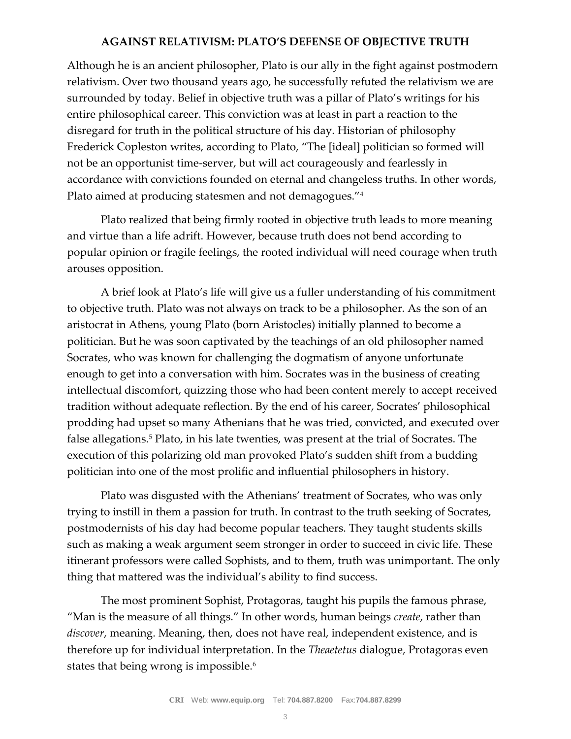### **AGAINST RELATIVISM: PLATO'S DEFENSE OF OBJECTIVE TRUTH**

Although he is an ancient philosopher, Plato is our ally in the fight against postmodern relativism. Over two thousand years ago, he successfully refuted the relativism we are surrounded by today. Belief in objective truth was a pillar of Plato's writings for his entire philosophical career. This conviction was at least in part a reaction to the disregard for truth in the political structure of his day. Historian of philosophy Frederick Copleston writes, according to Plato, "The [ideal] politician so formed will not be an opportunist time-server, but will act courageously and fearlessly in accordance with convictions founded on eternal and changeless truths. In other words, Plato aimed at producing statesmen and not demagogues."<sup>4</sup>

Plato realized that being firmly rooted in objective truth leads to more meaning and virtue than a life adrift. However, because truth does not bend according to popular opinion or fragile feelings, the rooted individual will need courage when truth arouses opposition.

A brief look at Plato's life will give us a fuller understanding of his commitment to objective truth. Plato was not always on track to be a philosopher. As the son of an aristocrat in Athens, young Plato (born Aristocles) initially planned to become a politician. But he was soon captivated by the teachings of an old philosopher named Socrates, who was known for challenging the dogmatism of anyone unfortunate enough to get into a conversation with him. Socrates was in the business of creating intellectual discomfort, quizzing those who had been content merely to accept received tradition without adequate reflection. By the end of his career, Socrates' philosophical prodding had upset so many Athenians that he was tried, convicted, and executed over false allegations.<sup>5</sup> Plato, in his late twenties, was present at the trial of Socrates. The execution of this polarizing old man provoked Plato's sudden shift from a budding politician into one of the most prolific and influential philosophers in history.

Plato was disgusted with the Athenians' treatment of Socrates, who was only trying to instill in them a passion for truth. In contrast to the truth seeking of Socrates, postmodernists of his day had become popular teachers. They taught students skills such as making a weak argument seem stronger in order to succeed in civic life. These itinerant professors were called Sophists, and to them, truth was unimportant. The only thing that mattered was the individual's ability to find success.

The most prominent Sophist, Protagoras, taught his pupils the famous phrase, "Man is the measure of all things." In other words, human beings *create*, rather than *discover*, meaning. Meaning, then, does not have real, independent existence, and is therefore up for individual interpretation. In the *Theaetetus* dialogue, Protagoras even states that being wrong is impossible.<sup>6</sup>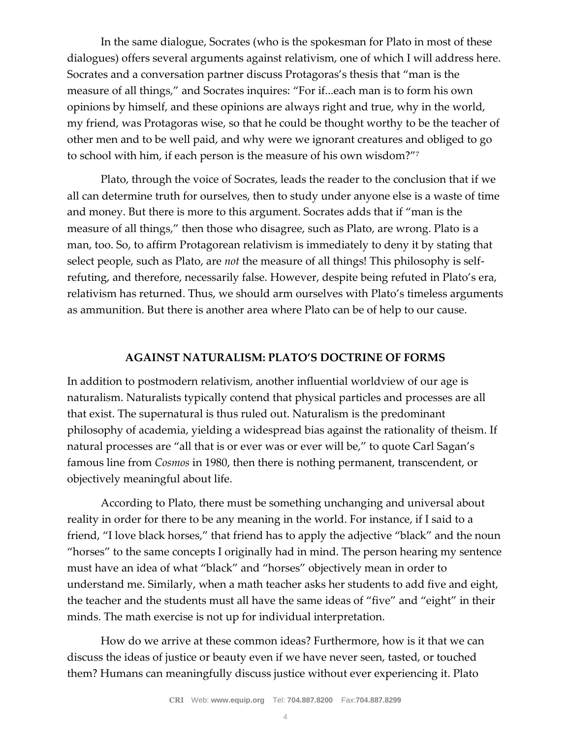In the same dialogue, Socrates (who is the spokesman for Plato in most of these dialogues) offers several arguments against relativism, one of which I will address here. Socrates and a conversation partner discuss Protagoras's thesis that "man is the measure of all things," and Socrates inquires: "For if...each man is to form his own opinions by himself, and these opinions are always right and true, why in the world, my friend, was Protagoras wise, so that he could be thought worthy to be the teacher of other men and to be well paid, and why were we ignorant creatures and obliged to go to school with him, if each person is the measure of his own wisdom?"<sup>7</sup>

Plato, through the voice of Socrates, leads the reader to the conclusion that if we all can determine truth for ourselves, then to study under anyone else is a waste of time and money. But there is more to this argument. Socrates adds that if "man is the measure of all things," then those who disagree, such as Plato, are wrong. Plato is a man, too. So, to affirm Protagorean relativism is immediately to deny it by stating that select people, such as Plato, are *not* the measure of all things! This philosophy is selfrefuting, and therefore, necessarily false. However, despite being refuted in Plato's era, relativism has returned. Thus, we should arm ourselves with Plato's timeless arguments as ammunition. But there is another area where Plato can be of help to our cause.

#### **AGAINST NATURALISM: PLATO'S DOCTRINE OF FORMS**

In addition to postmodern relativism, another influential worldview of our age is naturalism. Naturalists typically contend that physical particles and processes are all that exist. The supernatural is thus ruled out. Naturalism is the predominant philosophy of academia, yielding a widespread bias against the rationality of theism. If natural processes are "all that is or ever was or ever will be," to quote Carl Sagan's famous line from *Cosmos* in 1980, then there is nothing permanent, transcendent, or objectively meaningful about life.

According to Plato, there must be something unchanging and universal about reality in order for there to be any meaning in the world. For instance, if I said to a friend, "I love black horses," that friend has to apply the adjective "black" and the noun "horses" to the same concepts I originally had in mind. The person hearing my sentence must have an idea of what "black" and "horses" objectively mean in order to understand me. Similarly, when a math teacher asks her students to add five and eight, the teacher and the students must all have the same ideas of "five" and "eight" in their minds. The math exercise is not up for individual interpretation.

How do we arrive at these common ideas? Furthermore, how is it that we can discuss the ideas of justice or beauty even if we have never seen, tasted, or touched them? Humans can meaningfully discuss justice without ever experiencing it. Plato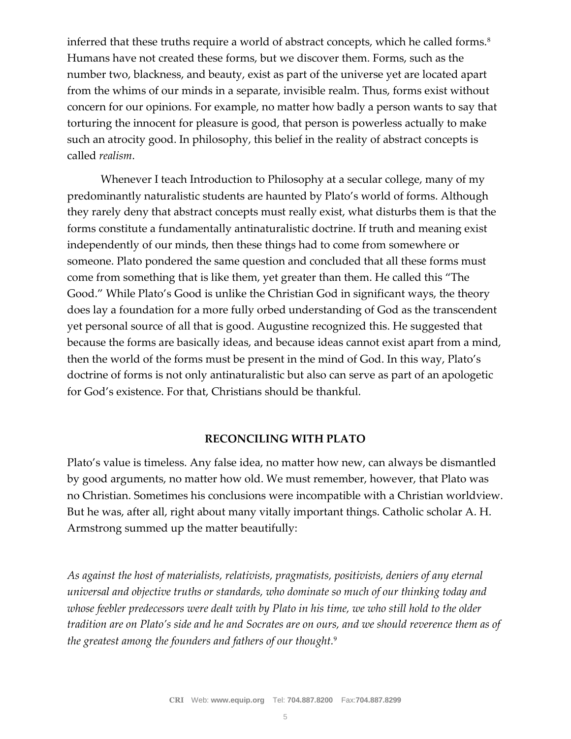inferred that these truths require a world of abstract concepts, which he called forms.<sup>8</sup> Humans have not created these forms, but we discover them. Forms, such as the number two, blackness, and beauty, exist as part of the universe yet are located apart from the whims of our minds in a separate, invisible realm. Thus, forms exist without concern for our opinions. For example, no matter how badly a person wants to say that torturing the innocent for pleasure is good, that person is powerless actually to make such an atrocity good. In philosophy, this belief in the reality of abstract concepts is called *realism*.

Whenever I teach Introduction to Philosophy at a secular college, many of my predominantly naturalistic students are haunted by Plato's world of forms. Although they rarely deny that abstract concepts must really exist, what disturbs them is that the forms constitute a fundamentally antinaturalistic doctrine. If truth and meaning exist independently of our minds, then these things had to come from somewhere or someone. Plato pondered the same question and concluded that all these forms must come from something that is like them, yet greater than them. He called this "The Good." While Plato's Good is unlike the Christian God in significant ways, the theory does lay a foundation for a more fully orbed understanding of God as the transcendent yet personal source of all that is good. Augustine recognized this. He suggested that because the forms are basically ideas, and because ideas cannot exist apart from a mind, then the world of the forms must be present in the mind of God. In this way, Plato's doctrine of forms is not only antinaturalistic but also can serve as part of an apologetic for God's existence. For that, Christians should be thankful.

#### **RECONCILING WITH PLATO**

Plato's value is timeless. Any false idea, no matter how new, can always be dismantled by good arguments, no matter how old. We must remember, however, that Plato was no Christian. Sometimes his conclusions were incompatible with a Christian worldview. But he was, after all, right about many vitally important things. Catholic scholar A. H. Armstrong summed up the matter beautifully:

*As against the host of materialists, relativists, pragmatists, positivists, deniers of any eternal universal and objective truths or standards, who dominate so much of our thinking today and whose feebler predecessors were dealt with by Plato in his time, we who still hold to the older tradition are on Plato's side and he and Socrates are on ours, and we should reverence them as of the greatest among the founders and fathers of our thought.*9